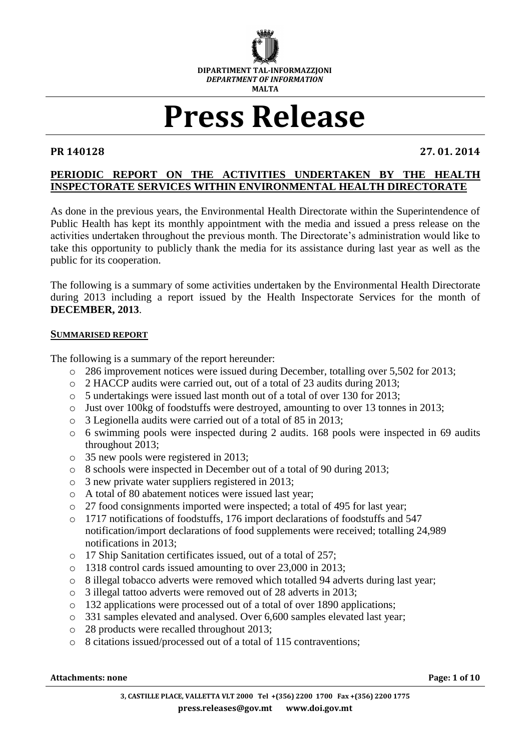

# **Press Release**

**PR 140128 27. 01. 2014**

## **PERIODIC REPORT ON THE ACTIVITIES UNDERTAKEN BY THE HEALTH INSPECTORATE SERVICES WITHIN ENVIRONMENTAL HEALTH DIRECTORATE**

As done in the previous years, the Environmental Health Directorate within the Superintendence of Public Health has kept its monthly appointment with the media and issued a press release on the activities undertaken throughout the previous month. The Directorate's administration would like to take this opportunity to publicly thank the media for its assistance during last year as well as the public for its cooperation.

The following is a summary of some activities undertaken by the Environmental Health Directorate during 2013 including a report issued by the Health Inspectorate Services for the month of **DECEMBER, 2013**.

#### **SUMMARISED REPORT**

The following is a summary of the report hereunder:

- o 286 improvement notices were issued during December, totalling over 5,502 for 2013;
- o 2 HACCP audits were carried out, out of a total of 23 audits during 2013;
- o 5 undertakings were issued last month out of a total of over 130 for 2013;
- o Just over 100kg of foodstuffs were destroyed, amounting to over 13 tonnes in 2013;
- o 3 Legionella audits were carried out of a total of 85 in 2013;
- o 6 swimming pools were inspected during 2 audits. 168 pools were inspected in 69 audits throughout 2013;
- o 35 new pools were registered in 2013;
- o 8 schools were inspected in December out of a total of 90 during 2013;
- o 3 new private water suppliers registered in 2013;
- o A total of 80 abatement notices were issued last year;
- o 27 food consignments imported were inspected; a total of 495 for last year;
- o 1717 notifications of foodstuffs, 176 import declarations of foodstuffs and 547 notification/import declarations of food supplements were received; totalling 24,989 notifications in 2013;
- o 17 Ship Sanitation certificates issued, out of a total of 257;
- o 1318 control cards issued amounting to over 23,000 in 2013;
- o 8 illegal tobacco adverts were removed which totalled 94 adverts during last year;
- o 3 illegal tattoo adverts were removed out of 28 adverts in 2013;
- o 132 applications were processed out of a total of over 1890 applications;
- o 331 samples elevated and analysed. Over 6,600 samples elevated last year;
- o 28 products were recalled throughout 2013;
- o 8 citations issued/processed out of a total of 115 contraventions;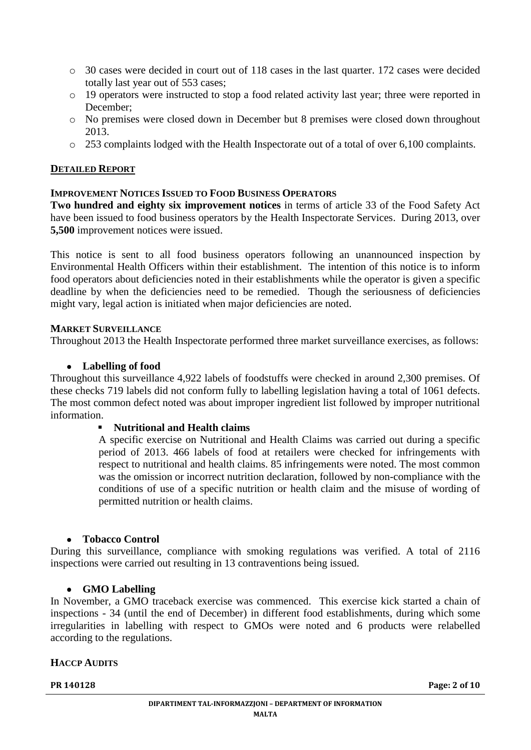- o 30 cases were decided in court out of 118 cases in the last quarter. 172 cases were decided totally last year out of 553 cases;
- o 19 operators were instructed to stop a food related activity last year; three were reported in December;
- o No premises were closed down in December but 8 premises were closed down throughout 2013.
- o 253 complaints lodged with the Health Inspectorate out of a total of over 6,100 complaints.

#### **DETAILED REPORT**

#### **IMPROVEMENT NOTICES ISSUED TO FOOD BUSINESS OPERATORS**

**Two hundred and eighty six improvement notices** in terms of article 33 of the Food Safety Act have been issued to food business operators by the Health Inspectorate Services. During 2013, over **5,500** improvement notices were issued.

This notice is sent to all food business operators following an unannounced inspection by Environmental Health Officers within their establishment. The intention of this notice is to inform food operators about deficiencies noted in their establishments while the operator is given a specific deadline by when the deficiencies need to be remedied. Though the seriousness of deficiencies might vary, legal action is initiated when major deficiencies are noted.

#### **MARKET SURVEILLANCE**

Throughout 2013 the Health Inspectorate performed three market surveillance exercises, as follows:

#### **Labelling of food**

Throughout this surveillance 4,922 labels of foodstuffs were checked in around 2,300 premises. Of these checks 719 labels did not conform fully to labelling legislation having a total of 1061 defects. The most common defect noted was about improper ingredient list followed by improper nutritional information.

#### **Nutritional and Health claims**

A specific exercise on Nutritional and Health Claims was carried out during a specific period of 2013. 466 labels of food at retailers were checked for infringements with respect to nutritional and health claims. 85 infringements were noted. The most common was the omission or incorrect nutrition declaration, followed by non-compliance with the conditions of use of a specific nutrition or health claim and the misuse of wording of permitted nutrition or health claims.

#### **Tobacco Control**

During this surveillance, compliance with smoking regulations was verified. A total of 2116 inspections were carried out resulting in 13 contraventions being issued.

#### **GMO Labelling**

In November, a GMO traceback exercise was commenced. This exercise kick started a chain of inspections - 34 (until the end of December) in different food establishments, during which some irregularities in labelling with respect to GMOs were noted and 6 products were relabelled according to the regulations.

#### **HACCP AUDITS**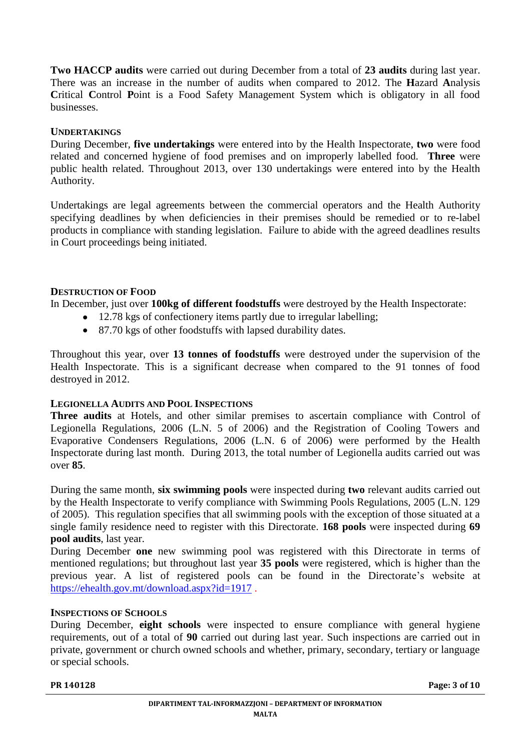**Two HACCP audits** were carried out during December from a total of **23 audits** during last year. There was an increase in the number of audits when compared to 2012. The **H**azard **A**nalysis **Critical Control Point is a Food Safety Management System which is obligatory in all food** businesses.

#### **UNDERTAKINGS**

During December, **five undertakings** were entered into by the Health Inspectorate, **two** were food related and concerned hygiene of food premises and on improperly labelled food. **Three** were public health related. Throughout 2013, over 130 undertakings were entered into by the Health Authority.

Undertakings are legal agreements between the commercial operators and the Health Authority specifying deadlines by when deficiencies in their premises should be remedied or to re-label products in compliance with standing legislation. Failure to abide with the agreed deadlines results in Court proceedings being initiated.

## **DESTRUCTION OF FOOD**

In December, just over **100kg of different foodstuffs** were destroyed by the Health Inspectorate:

- 12.78 kgs of confectionery items partly due to irregular labelling;
- 87.70 kgs of other foodstuffs with lapsed durability dates.

Throughout this year, over **13 tonnes of foodstuffs** were destroyed under the supervision of the Health Inspectorate. This is a significant decrease when compared to the 91 tonnes of food destroyed in 2012.

# **LEGIONELLA AUDITS AND POOL INSPECTIONS**

**Three audits** at Hotels, and other similar premises to ascertain compliance with Control of Legionella Regulations, 2006 (L.N. 5 of 2006) and the Registration of Cooling Towers and Evaporative Condensers Regulations, 2006 (L.N. 6 of 2006) were performed by the Health Inspectorate during last month. During 2013, the total number of Legionella audits carried out was over **85**.

During the same month, **six swimming pools** were inspected during **two** relevant audits carried out by the Health Inspectorate to verify compliance with Swimming Pools Regulations, 2005 (L.N. 129 of 2005). This regulation specifies that all swimming pools with the exception of those situated at a single family residence need to register with this Directorate. **168 pools** were inspected during **69 pool audits**, last year.

During December **one** new swimming pool was registered with this Directorate in terms of mentioned regulations; but throughout last year **35 pools** were registered, which is higher than the previous year. A list of registered pools can be found in the Directorate's website at <https://ehealth.gov.mt/download.aspx?id=1917>.

#### **INSPECTIONS OF SCHOOLS**

During December, **eight schools** were inspected to ensure compliance with general hygiene requirements, out of a total of **90** carried out during last year. Such inspections are carried out in private, government or church owned schools and whether, primary, secondary, tertiary or language or special schools.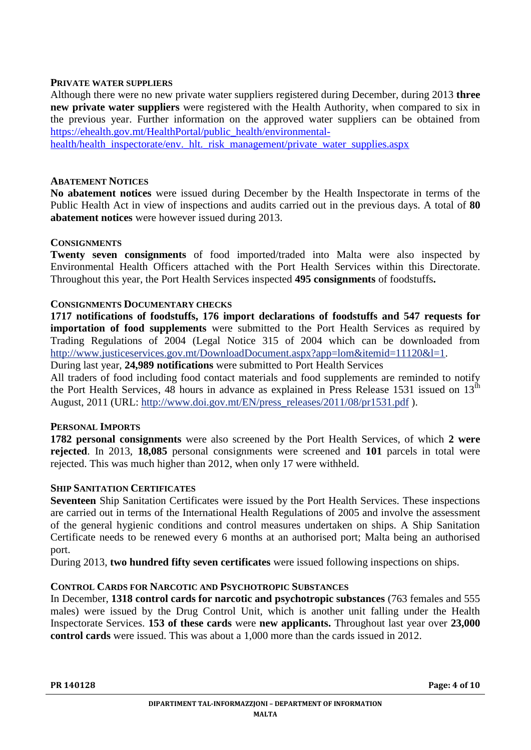#### **PRIVATE WATER SUPPLIERS**

Although there were no new private water suppliers registered during December, during 2013 **three new private water suppliers** were registered with the Health Authority, when compared to six in the previous year. Further information on the approved water suppliers can be obtained from [https://ehealth.gov.mt/HealthPortal/public\\_health/environmental-](https://ehealth.gov.mt/HealthPortal/public_health/environmental-health/health_inspectorate/env._hlt._risk_management/private_water_supplies.aspx)

[health/health\\_inspectorate/env.\\_hlt.\\_risk\\_management/private\\_water\\_supplies.aspx](https://ehealth.gov.mt/HealthPortal/public_health/environmental-health/health_inspectorate/env._hlt._risk_management/private_water_supplies.aspx)

#### **ABATEMENT NOTICES**

**No abatement notices** were issued during December by the Health Inspectorate in terms of the Public Health Act in view of inspections and audits carried out in the previous days. A total of **80 abatement notices** were however issued during 2013.

#### **CONSIGNMENTS**

**Twenty seven consignments** of food imported/traded into Malta were also inspected by Environmental Health Officers attached with the Port Health Services within this Directorate. Throughout this year, the Port Health Services inspected **495 consignments** of foodstuffs**.**

#### **CONSIGNMENTS DOCUMENTARY CHECKS**

**1717 notifications of foodstuffs, 176 import declarations of foodstuffs and 547 requests for importation of food supplements** were submitted to the Port Health Services as required by Trading Regulations of 2004 (Legal Notice 315 of 2004 which can be downloaded from [http://www.justiceservices.gov.mt/DownloadDocument.aspx?app=lom&itemid=11120&l=1.](http://www.justiceservices.gov.mt/DownloadDocument.aspx?app=lom&itemid=11120&l=1)

During last year, **24,989 notifications** were submitted to Port Health Services

All traders of food including food contact materials and food supplements are reminded to notify the Port Health Services, 48 hours in advance as explained in Press Release 1531 issued on  $13<sup>th</sup>$ August, 2011 (URL: [http://www.doi.gov.mt/EN/press\\_releases/2011/08/pr1531.pdf](http://www.doi.gov.mt/EN/press_releases/2011/08/pr1531.pdf) ).

#### **PERSONAL IMPORTS**

**1782 personal consignments** were also screened by the Port Health Services, of which **2 were rejected**. In 2013, **18,085** personal consignments were screened and **101** parcels in total were rejected. This was much higher than 2012, when only 17 were withheld.

#### **SHIP SANITATION CERTIFICATES**

**Seventeen** Ship Sanitation Certificates were issued by the Port Health Services. These inspections are carried out in terms of the International Health Regulations of 2005 and involve the assessment of the general hygienic conditions and control measures undertaken on ships. A Ship Sanitation Certificate needs to be renewed every 6 months at an authorised port; Malta being an authorised port.

During 2013, **two hundred fifty seven certificates** were issued following inspections on ships.

#### **CONTROL CARDS FOR NARCOTIC AND PSYCHOTROPIC SUBSTANCES**

In December, **1318 control cards for narcotic and psychotropic substances** (763 females and 555 males) were issued by the Drug Control Unit, which is another unit falling under the Health Inspectorate Services. **153 of these cards** were **new applicants.** Throughout last year over **23,000 control cards** were issued. This was about a 1,000 more than the cards issued in 2012.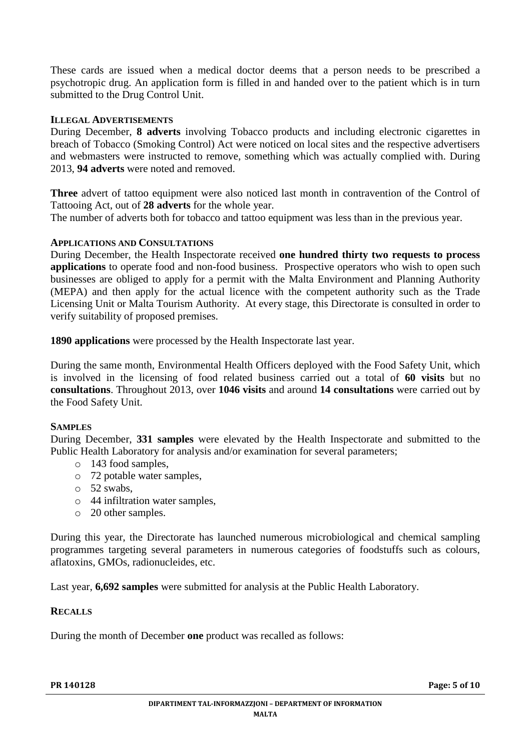These cards are issued when a medical doctor deems that a person needs to be prescribed a psychotropic drug. An application form is filled in and handed over to the patient which is in turn submitted to the Drug Control Unit.

## **ILLEGAL ADVERTISEMENTS**

During December, **8 adverts** involving Tobacco products and including electronic cigarettes in breach of Tobacco (Smoking Control) Act were noticed on local sites and the respective advertisers and webmasters were instructed to remove, something which was actually complied with. During 2013, **94 adverts** were noted and removed.

**Three** advert of tattoo equipment were also noticed last month in contravention of the Control of Tattooing Act, out of **28 adverts** for the whole year.

The number of adverts both for tobacco and tattoo equipment was less than in the previous year.

## **APPLICATIONS AND CONSULTATIONS**

During December, the Health Inspectorate received **one hundred thirty two requests to process applications** to operate food and non-food business. Prospective operators who wish to open such businesses are obliged to apply for a permit with the Malta Environment and Planning Authority (MEPA) and then apply for the actual licence with the competent authority such as the Trade Licensing Unit or Malta Tourism Authority. At every stage, this Directorate is consulted in order to verify suitability of proposed premises.

**1890 applications** were processed by the Health Inspectorate last year.

During the same month, Environmental Health Officers deployed with the Food Safety Unit, which is involved in the licensing of food related business carried out a total of **60 visits** but no **consultations**. Throughout 2013, over **1046 visits** and around **14 consultations** were carried out by the Food Safety Unit.

#### **SAMPLES**

During December, **331 samples** were elevated by the Health Inspectorate and submitted to the Public Health Laboratory for analysis and/or examination for several parameters;

- o 143 food samples,
- o 72 potable water samples,
- o 52 swabs,
- o 44 infiltration water samples,
- o 20 other samples.

During this year, the Directorate has launched numerous microbiological and chemical sampling programmes targeting several parameters in numerous categories of foodstuffs such as colours, aflatoxins, GMOs, radionucleides, etc.

Last year, **6,692 samples** were submitted for analysis at the Public Health Laboratory.

#### **RECALLS**

During the month of December **one** product was recalled as follows: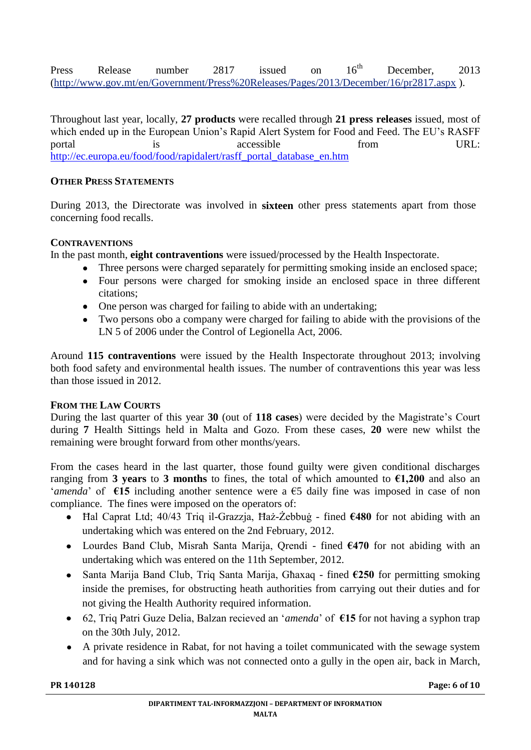Press Release number 2817 issued on 16<sup>th</sup> December, 2013 [\(http://www.gov.mt/en/Government/Press%20Releases/Pages/2013/December/16/pr2817.aspx](http://www.gov.mt/en/Government/Press%20Releases/Pages/2013/December/16/pr2817.aspx) ).

Throughout last year, locally, **27 products** were recalled through **21 press releases** issued, most of which ended up in the European Union's Rapid Alert System for Food and Feed. The EU's RASFF portal is accessible from URL: [http://ec.europa.eu/food/food/rapidalert/rasff\\_portal\\_database\\_en.htm](http://ec.europa.eu/food/food/rapidalert/rasff_portal_database_en.htm)

# **OTHER PRESS STATEMENTS**

During 2013, the Directorate was involved in **sixteen** other press statements apart from those concerning food recalls.

# **CONTRAVENTIONS**

In the past month, **eight contraventions** were issued/processed by the Health Inspectorate.

- Three persons were charged separately for permitting smoking inside an enclosed space;
- Four persons were charged for smoking inside an enclosed space in three different  $\bullet$ citations;
- One person was charged for failing to abide with an undertaking;
- Two persons obo a company were charged for failing to abide with the provisions of the  $\bullet$ LN 5 of 2006 under the Control of Legionella Act, 2006.

Around **115 contraventions** were issued by the Health Inspectorate throughout 2013; involving both food safety and environmental health issues. The number of contraventions this year was less than those issued in 2012.

# **FROM THE LAW COURTS**

During the last quarter of this year **30** (out of **118 cases**) were decided by the Magistrate's Court during **7** Health Sittings held in Malta and Gozo. From these cases, **20** were new whilst the remaining were brought forward from other months/years.

From the cases heard in the last quarter, those found guilty were given conditional discharges ranging from **3 years** to **3 months** to fines, the total of which amounted to  $\epsilon$ 1,200 and also an '*amenda*' of **€15** including another sentence were a €5 daily fine was imposed in case of non compliance.The fines were imposed on the operators of:

- Ħal Caprat Ltd; 40/43 Triq il-Grazzja, Ħaż-Żebbuġ fined **€480** for not abiding with an  $\bullet$ undertaking which was entered on the 2nd February, 2012.
- Lourdes Band Club, Misraħ Santa Marija, Qrendi fined **€470** for not abiding with an undertaking which was entered on the 11th September, 2012.
- Santa Marija Band Club, Triq Santa Marija, Għaxaq fined **€250** for permitting smoking  $\bullet$ inside the premises, for obstructing heath authorities from carrying out their duties and for not giving the Health Authority required information.
- 62, Triq Patri Guze Delia, Balzan recieved an '*amenda*' of **€15** for not having a syphon trap on the 30th July, 2012.
- A private residence in Rabat, for not having a toilet communicated with the sewage system  $\bullet$ and for having a sink which was not connected onto a gully in the open air, back in March,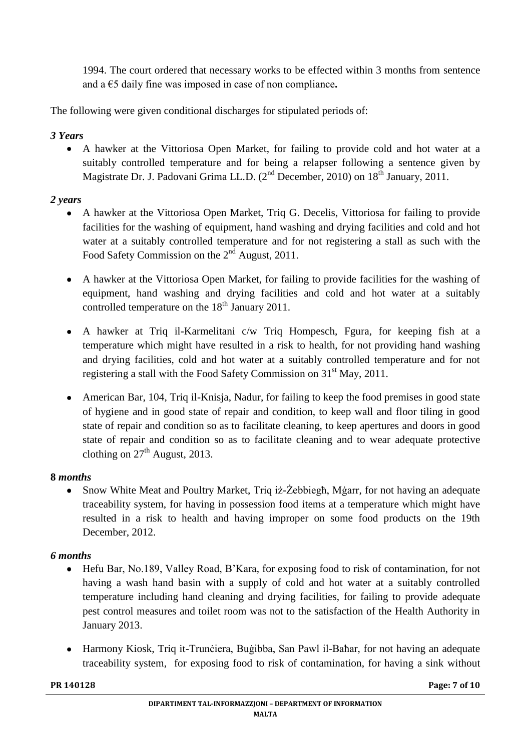1994. The court ordered that necessary works to be effected within 3 months from sentence and a €5 daily fine was imposed in case of non compliance**.** 

The following were given conditional discharges for stipulated periods of:

# *3 Years*

A hawker at the Vittoriosa Open Market, for failing to provide cold and hot water at a  $\bullet$ suitably controlled temperature and for being a relapser following a sentence given by Magistrate Dr. J. Padovani Grima LL.D. (2<sup>nd</sup> December, 2010) on 18<sup>th</sup> January, 2011.

# *2 years*

- $\bullet$ A hawker at the Vittoriosa Open Market, Triq G. Decelis, Vittoriosa for failing to provide facilities for the washing of equipment, hand washing and drying facilities and cold and hot water at a suitably controlled temperature and for not registering a stall as such with the Food Safety Commission on the 2<sup>nd</sup> August, 2011.
- A hawker at the Vittoriosa Open Market, for failing to provide facilities for the washing of equipment, hand washing and drying facilities and cold and hot water at a suitably controlled temperature on the  $18<sup>th</sup>$  January 2011.
- A hawker at Triq il-Karmelitani c/w Triq Hompesch, Fgura, for keeping fish at a temperature which might have resulted in a risk to health, for not providing hand washing and drying facilities, cold and hot water at a suitably controlled temperature and for not registering a stall with the Food Safety Commission on 31st May, 2011.
- American Bar, 104, Triq il-Knisja, Nadur, for failing to keep the food premises in good state of hygiene and in good state of repair and condition, to keep wall and floor tiling in good state of repair and condition so as to facilitate cleaning, to keep apertures and doors in good state of repair and condition so as to facilitate cleaning and to wear adequate protective clothing on  $27<sup>th</sup>$  August, 2013.

# **8** *months*

Snow White Meat and Poultry Market, Triq iż-Żebbiegħ, Mġarr, for not having an adequate  $\bullet$ traceability system, for having in possession food items at a temperature which might have resulted in a risk to health and having improper on some food products on the 19th December, 2012.

# *6 months*

- $\bullet$ Hefu Bar, No.189, Valley Road, B'Kara, for exposing food to risk of contamination, for not having a wash hand basin with a supply of cold and hot water at a suitably controlled temperature including hand cleaning and drying facilities, for failing to provide adequate pest control measures and toilet room was not to the satisfaction of the Health Authority in January 2013.
- Harmony Kiosk, Triq it-Trunciera, Bugibba, San Pawl il-Baħar, for not having an adequate traceability system, for exposing food to risk of contamination, for having a sink without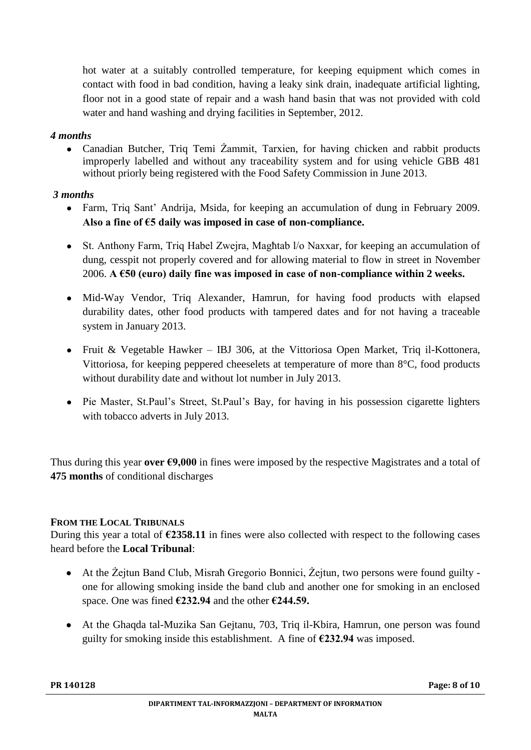hot water at a suitably controlled temperature, for keeping equipment which comes in contact with food in bad condition, having a leaky sink drain, inadequate artificial lighting, floor not in a good state of repair and a wash hand basin that was not provided with cold water and hand washing and drying facilities in September, 2012.

# *4 months*

Canadian Butcher, Triq Temi Żammit, Tarxien, for having chicken and rabbit products improperly labelled and without any traceability system and for using vehicle GBB 481 without priorly being registered with the Food Safety Commission in June 2013.

# *3 months*

- Farm, Triq Sant' Andrija, Msida, for keeping an accumulation of dung in February 2009. **Also a fine of €5 daily was imposed in case of non-compliance.**
- St. Anthony Farm, Triq Habel Zwejra, Magħtab l/o Naxxar, for keeping an accumulation of dung, cesspit not properly covered and for allowing material to flow in street in November 2006. **A €50 (euro) daily fine was imposed in case of non-compliance within 2 weeks.**
- Mid-Way Vendor, Triq Alexander, Hamrun, for having food products with elapsed durability dates, other food products with tampered dates and for not having a traceable system in January 2013.
- Fruit & Vegetable Hawker IBJ 306, at the Vittoriosa Open Market, Triq il-Kottonera, Vittoriosa, for keeping peppered cheeselets at temperature of more than 8°C, food products without durability date and without lot number in July 2013.
- Pie Master, St.Paul's Street, St.Paul's Bay, for having in his possession cigarette lighters with tobacco adverts in July 2013.

Thus during this year **over €9,000** in fines were imposed by the respective Magistrates and a total of **475 months** of conditional discharges

# **FROM THE LOCAL TRIBUNALS**

During this year a total of **€2358.11** in fines were also collected with respect to the following cases heard before the **Local Tribunal**:

- At the Żejtun Band Club, Misrah Gregorio Bonnici, Żejtun, two persons were found guilty one for allowing smoking inside the band club and another one for smoking in an enclosed space. One was fined **€232.94** and the other **€244.59.**
- At the Ghaqda tal-Muzika San Gejtanu, 703, Triq il-Kbira, Hamrun, one person was found guilty for smoking inside this establishment. A fine of **€232.94** was imposed.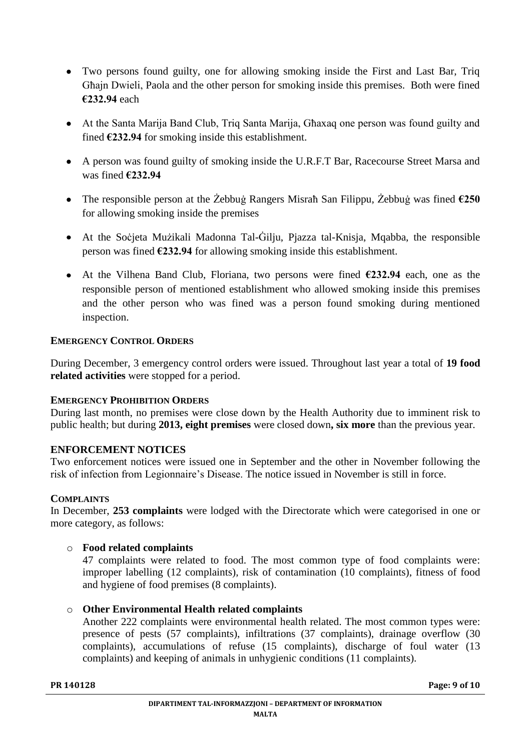- Two persons found guilty, one for allowing smoking inside the First and Last Bar, Triq Għajn Dwieli, Paola and the other person for smoking inside this premises. Both were fined **€232.94** each
- At the Santa Marija Band Club, Triq Santa Marija, Għaxaq one person was found guilty and fined **€232.94** for smoking inside this establishment.
- A person was found guilty of smoking inside the U.R.F.T Bar, Racecourse Street Marsa and was fined **€232.94**
- The responsible person at the Żebbuġ Rangers Misraħ San Filippu, Żebbuġ was fined **€250** for allowing smoking inside the premises
- At the Soċjeta Mużikali Madonna Tal-Ġilju, Pjazza tal-Knisja, Mqabba, the responsible person was fined **€232.94** for allowing smoking inside this establishment.
- At the Vilhena Band Club, Floriana, two persons were fined **€232.94** each, one as the responsible person of mentioned establishment who allowed smoking inside this premises and the other person who was fined was a person found smoking during mentioned inspection.

# **EMERGENCY CONTROL ORDERS**

During December, 3 emergency control orders were issued. Throughout last year a total of **19 food related activities** were stopped for a period.

#### **EMERGENCY PROHIBITION ORDERS**

During last month, no premises were close down by the Health Authority due to imminent risk to public health; but during **2013, eight premises** were closed down**, six more** than the previous year.

# **ENFORCEMENT NOTICES**

Two enforcement notices were issued one in September and the other in November following the risk of infection from Legionnaire's Disease. The notice issued in November is still in force.

#### **COMPLAINTS**

In December, **253 complaints** were lodged with the Directorate which were categorised in one or more category, as follows:

#### o **Food related complaints**

47 complaints were related to food. The most common type of food complaints were: improper labelling (12 complaints), risk of contamination (10 complaints), fitness of food and hygiene of food premises (8 complaints).

#### o **Other Environmental Health related complaints**

Another 222 complaints were environmental health related. The most common types were: presence of pests (57 complaints), infiltrations (37 complaints), drainage overflow (30 complaints), accumulations of refuse (15 complaints), discharge of foul water (13 complaints) and keeping of animals in unhygienic conditions (11 complaints).